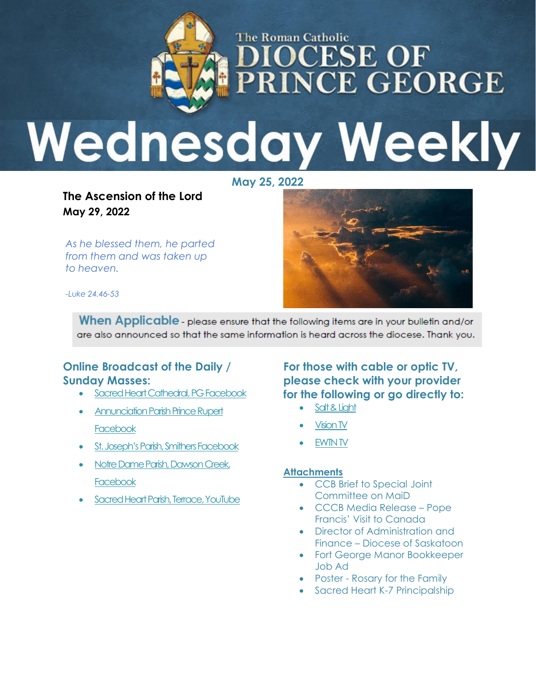

# **MOCESE OF NCE GEORGE** R I **Wednesday Weekly**

**May 25, 2022**

**The Ascension of the Lord May 29, 2022**

*As he blessed them, he parted from them and was taken up to heaven.*



*-Luke 24.46-53*

When Applicable - please ensure that the following items are in your bulletin and/or are also announced so that the same information is heard across the diocese. Thank you.

#### **Online Broadcast of the Daily / Sunday Masses:**

- [Sacred Heart Cathedral, PG Facebook](https://www.facebook.com/cathedraldpg/?__tn__=kC-R&eid=ARBxzqseS2j6IlMOBHBQOUYig0uRHQ6u4rFdszWCtWHLGgcEkzIiPhHLfwS-8yljBgxzuF5LvUCLaIh6&hc_ref=ARSCTlP0olakAsgI6CYt2S2duGiVxNrPAzLDUhTkFa9vnYojj7e2NsDhcNo-JEo3iss&fref=nf&__xts__%5b0%5d=68.ARCNixPU_easSZXAOCIZW1e6zA3H0S2pqpRy6xkQa1NtJ1ZWqddwEmxZ3mC-Lx5puZkf3urigWMSaZ8FtcRsvAgTNOm8PNNHALmAvxE6gtLBr3TylnIpjKWfjWN3WxzS2kMx2JpRX3Xf9iAecpKSU2QbA6bVkgxi7VkWqY7hbCXbEKn9vx5-QUJNDJX_IDjUhC9RDVBbgQ10PN-qQ0tj_fX57s8SD4Nvsyhw11r8b3ZeG5zoZ-jONs_6GgqQWkM0gamzvhU3HZnmOT9kNoEaLoZcZ8dkyIiwMfRbe_rR7-bawYIZ4KD07Ji85Xd3XBbWEu_LcQiUKPI5WSwN05CXXghEG1-s5GH3oUK5TQ)
- Annunciation Parish Prince Rupert **[Facebook](https://www.facebook.com/stjisephpr/)**
- [St. Joseph's Parish, Smithers Facebook](https://www.facebook.com/St-Joseph-Catholic-Church-Smithers-101406618235710/live_videos/?ref=page_internal)
- [Notre Dame Parish, Dawson Creek,](https://m.facebook.com/profile.php?id=562817160420202)  **[Facebook](https://m.facebook.com/profile.php?id=562817160420202)**
- [Sacred Heart Parish, Terrace, YouTube](https://www.youtube.com/results?search_query=sacred+heart+parish+terrace)

**For those with cable or optic TV, please check with your provider for the following or go directly to:**

- [Salt & Light](https://saltandlighttv.org/schedule/)
- [Vision TV](https://www.visiontv.ca/shows/daily-mass/)
- [EWTN TV](https://www.ewtn.com/tv)

#### **Attachments**

- CCB Brief to Special Joint Committee on MaiD
- CCCB Media Release Pope Francis' Visit to Canada
- Director of Administration and Finance – Diocese of Saskatoon
- Fort George Manor Bookkeeper Job Ad
- Poster Rosary for the Family
- Sacred Heart K-7 Principalship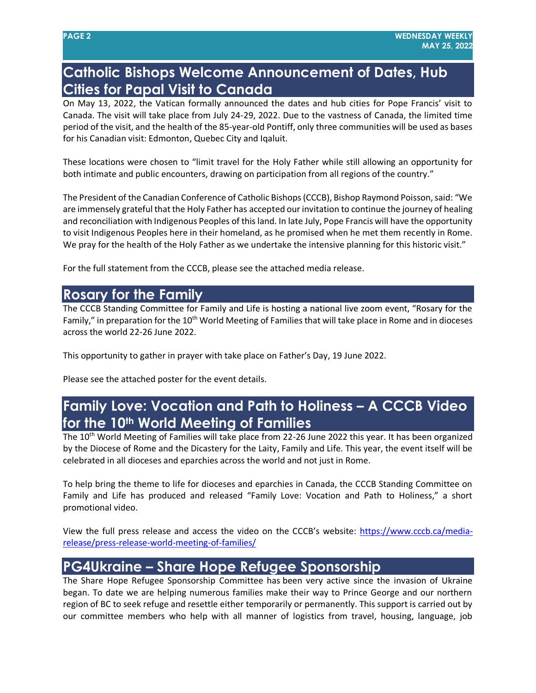### **Catholic Bishops Welcome Announcement of Dates, Hub Cities for Papal Visit to Canada**

On May 13, 2022, the Vatican formally announced the dates and hub cities for Pope Francis' visit to Canada. The visit will take place from July 24-29, 2022. Due to the vastness of Canada, the limited time period of the visit, and the health of the 85-year-old Pontiff, only three communities will be used as bases for his Canadian visit: Edmonton, Quebec City and Iqaluit.

These locations were chosen to "limit travel for the Holy Father while still allowing an opportunity for both intimate and public encounters, drawing on participation from all regions of the country."

The President of the Canadian Conference of Catholic Bishops (CCCB), Bishop Raymond Poisson, said: "We are immensely grateful that the Holy Father has accepted our invitation to continue the journey of healing and reconciliation with Indigenous Peoples of this land. In late July, Pope Francis will have the opportunity to visit Indigenous Peoples here in their homeland, as he promised when he met them recently in Rome. We pray for the health of the Holy Father as we undertake the intensive planning for this historic visit."

For the full statement from the CCCB, please see the attached media release.

### **Rosary for the Family**

The CCCB Standing Committee for Family and Life is hosting a national live zoom event, "Rosary for the Family," in preparation for the 10<sup>th</sup> World Meeting of Families that will take place in Rome and in dioceses across the world 22-26 June 2022.

This opportunity to gather in prayer with take place on Father's Day, 19 June 2022.

Please see the attached poster for the event details.

## **Family Love: Vocation and Path to Holiness – A CCCB Video for the 10th World Meeting of Families**

The 10<sup>th</sup> World Meeting of Families will take place from 22-26 June 2022 this year. It has been organized by the Diocese of Rome and the Dicastery for the Laity, Family and Life. This year, the event itself will be celebrated in all dioceses and eparchies across the world and not just in Rome.

To help bring the theme to life for dioceses and eparchies in Canada, the CCCB Standing Committee on Family and Life has produced and released "Family Love: Vocation and Path to Holiness," a short promotional video.

View the full press release and access the video on the CCCB's website: [https://www.cccb.ca/media](https://www.cccb.ca/media-release/press-release-world-meeting-of-families/)[release/press-release-world-meeting-of-families/](https://www.cccb.ca/media-release/press-release-world-meeting-of-families/)

# **PG4Ukraine – Share Hope Refugee Sponsorship**

The Share Hope Refugee Sponsorship Committee has been very active since the invasion of Ukraine began. To date we are helping numerous families make their way to Prince George and our northern region of BC to seek refuge and resettle either temporarily or permanently. This support is carried out by our committee members who help with all manner of logistics from travel, housing, language, job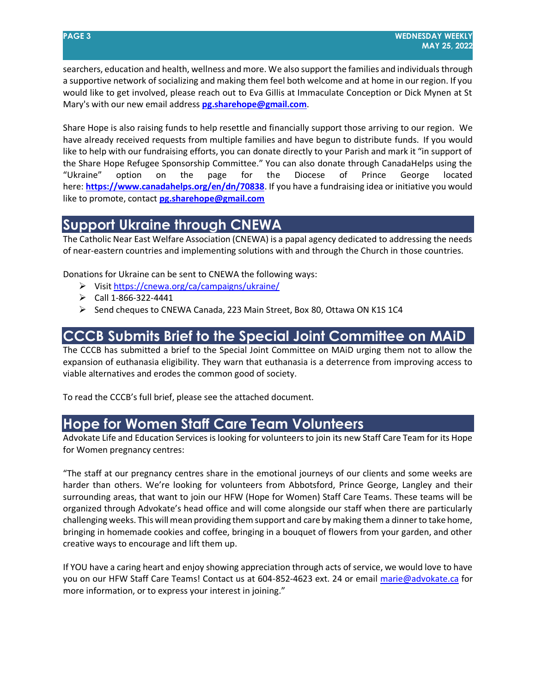searchers, education and health, wellness and more. We also support the families and individuals through a supportive network of socializing and making them feel both welcome and at home in our region. If you would like to get involved, please reach out to Eva Gillis at Immaculate Conception or Dick Mynen at St Mary's with our new email address **[pg.sharehope@gmail.com](mailto:pg.sharehope@gmail.com)**.

Share Hope is also raising funds to help resettle and financially support those arriving to our region. We have already received requests from multiple families and have begun to distribute funds. If you would like to help with our fundraising efforts, you can donate directly to your Parish and mark it "in support of the Share Hope Refugee Sponsorship Committee." You can also donate through CanadaHelps using the "Ukraine" option on the page for the Diocese of Prince George located here: **<https://www.canadahelps.org/en/dn/70838>**. If you have a fundraising idea or initiative you would like to promote, contact **[pg.sharehope@gmail.com](mailto:pg.sharehope@gmail.com)**

### **Support Ukraine through CNEWA**

The Catholic Near East Welfare Association (CNEWA) is a papal agency dedicated to addressing the needs of near-eastern countries and implementing solutions with and through the Church in those countries.

Donations for Ukraine can be sent to CNEWA the following ways:

- Visit<https://cnewa.org/ca/campaigns/ukraine/>
- $\triangleright$  Call 1-866-322-4441
- $\triangleright$  Send cheques to CNEWA Canada, 223 Main Street, Box 80, Ottawa ON K1S 1C4

### **CCCB Submits Brief to the Special Joint Committee on MAiD**

The CCCB has submitted a brief to the Special Joint Committee on MAiD urging them not to allow the expansion of euthanasia eligibility. They warn that euthanasia is a deterrence from improving access to viable alternatives and erodes the common good of society.

To read the CCCB's full brief, please see the attached document.

### **Hope for Women Staff Care Team Volunteers**

Advokate Life and Education Services is looking for volunteers to join its new Staff Care Team for its Hope for Women pregnancy centres:

"The staff at our pregnancy centres share in the emotional journeys of our clients and some weeks are harder than others. We're looking for volunteers from Abbotsford, Prince George, Langley and their surrounding areas, that want to join our HFW (Hope for Women) Staff Care Teams. These teams will be organized through Advokate's head office and will come alongside our staff when there are particularly challenging weeks. This will mean providing them support and care by making them a dinner to take home, bringing in homemade cookies and coffee, bringing in a bouquet of flowers from your garden, and other creative ways to encourage and lift them up.

If YOU have a caring heart and enjoy showing appreciation through acts of service, we would love to have you on our HFW Staff Care Teams! Contact us at 604-852-4623 ext. 24 or email [marie@advokate.ca](mailto:marie@advokate.ca) for more information, or to express your interest in joining."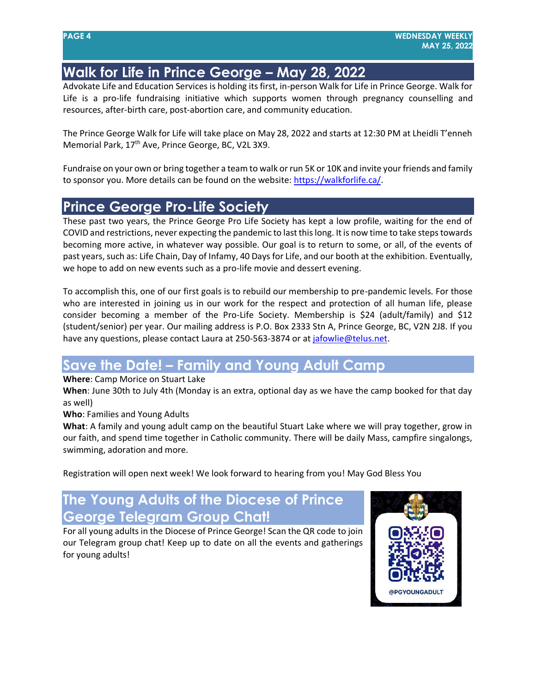# **Walk for Life in Prince George – May 28, 2022**

Advokate Life and Education Services is holding its first, in-person Walk for Life in Prince George. Walk for Life is a pro-life fundraising initiative which supports women through pregnancy counselling and resources, after-birth care, post-abortion care, and community education.

The Prince George Walk for Life will take place on May 28, 2022 and starts at 12:30 PM at Lheidli T'enneh Memorial Park, 17<sup>th</sup> Ave, Prince George, BC, V2L 3X9.

Fundraise on your own or bring together a team to walk or run 5K or 10K and invite your friends and family to sponsor you. More details can be found on the website: [https://walkforlife.ca/.](https://walkforlife.ca/)

### **Prince George Pro-Life Society**

These past two years, the Prince George Pro Life Society has kept a low profile, waiting for the end of COVID and restrictions, never expecting the pandemic to last this long. It is now time to take steps towards becoming more active, in whatever way possible. Our goal is to return to some, or all, of the events of past years, such as: Life Chain, Day of Infamy, 40 Days for Life, and our booth at the exhibition. Eventually, we hope to add on new events such as a pro-life movie and dessert evening.

To accomplish this, one of our first goals is to rebuild our membership to pre-pandemic levels. For those who are interested in joining us in our work for the respect and protection of all human life, please consider becoming a member of the Pro-Life Society. Membership is \$24 (adult/family) and \$12 (student/senior) per year. Our mailing address is P.O. Box 2333 Stn A, Prince George, BC, V2N 2J8. If you have any questions, please contact Laura at 250-563-3874 or a[t jafowlie@telus.net.](mailto:jafowlie@telus.net)

### **Save the Date! – Family and Young Adult Camp**

**Where**: Camp Morice on Stuart Lake

**When**: June 30th to July 4th (Monday is an extra, optional day as we have the camp booked for that day as well)

**Who**: Families and Young Adults

**What**: A family and young adult camp on the beautiful Stuart Lake where we will pray together, grow in our faith, and spend time together in Catholic community. There will be daily Mass, campfire singalongs, swimming, adoration and more.

Registration will open next week! We look forward to hearing from you! May God Bless You

# **The Young Adults of the Diocese of Prince George Telegram Group Chat!**

For all young adults in the Diocese of Prince George! Scan the QR code to join our Telegram group chat! Keep up to date on all the events and gatherings for young adults!

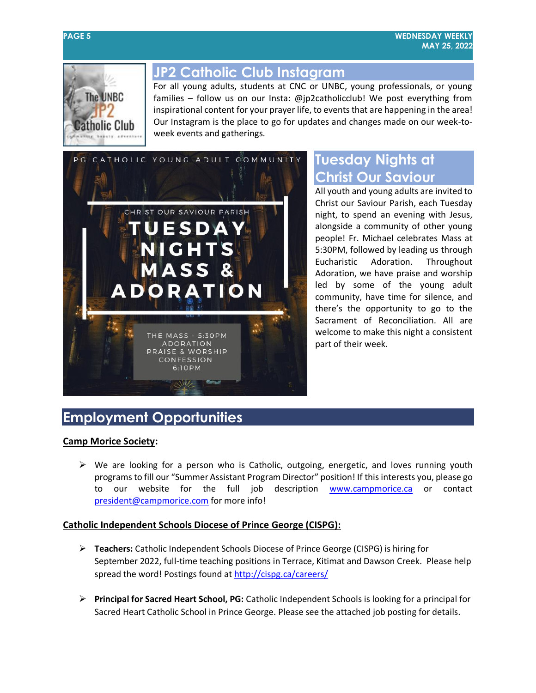

### **JP2 Catholic Club Instagram**

For all young adults, students at CNC or UNBC, young professionals, or young families – follow us on our Insta: @jp2catholicclub! We post everything from inspirational content for your prayer life, to events that are happening in the area! Our Instagram is the place to go for updates and changes made on our week-toweek events and gatherings.



# **Tuesday Nights at Christ Our Saviour**

All youth and young adults are invited to Christ our Saviour Parish, each Tuesday night, to spend an evening with Jesus, alongside a community of other young people! Fr. Michael celebrates Mass at 5:30PM, followed by leading us through Eucharistic Adoration. Throughout Adoration, we have praise and worship led by some of the young adult community, have time for silence, and there's the opportunity to go to the Sacrament of Reconciliation. All are welcome to make this night a consistent part of their week.

# **Employment Opportunities**

#### **Camp Morice Society:**

 $\triangleright$  We are looking for a person who is Catholic, outgoing, energetic, and loves running youth programs to fill our "Summer Assistant Program Director" position! If this interests you, please go to our website for the full job description [www.campmorice.ca](http://www.campmorice.ca/) or contact [president@campmorice.com](mailto:president@campmorice.com) for more info!

#### **Catholic Independent Schools Diocese of Prince George (CISPG):**

- **Teachers:** Catholic Independent Schools Diocese of Prince George (CISPG) is hiring for September 2022, full-time teaching positions in Terrace, Kitimat and Dawson Creek. Please help spread the word! Postings found at <http://cispg.ca/careers/>
- **Principal for Sacred Heart School, PG:** Catholic Independent Schools is looking for a principal for Sacred Heart Catholic School in Prince George. Please see the attached job posting for details.